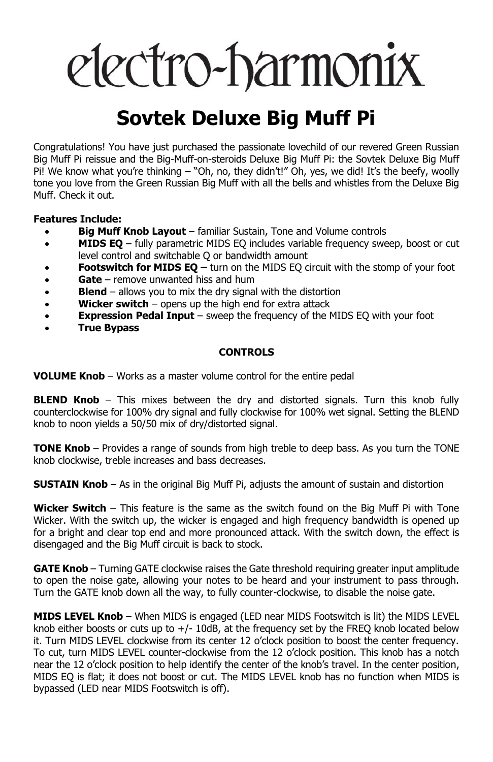# electro-harmonix

## **Sovtek Deluxe Big Muff Pi**

Congratulations! You have just purchased the passionate lovechild of our revered Green Russian Big Muff Pi reissue and the Big-Muff-on-steroids Deluxe Big Muff Pi: the Sovtek Deluxe Big Muff Pi! We know what you're thinking – "Oh, no, they didn't!" Oh, yes, we did! It's the beefy, woolly tone you love from the Green Russian Big Muff with all the bells and whistles from the Deluxe Big Muff. Check it out.

#### **Features Include:**

- **Big Muff Knob Layout** familiar Sustain, Tone and Volume controls
- **MIDS EQ** fully parametric MIDS EQ includes variable frequency sweep, boost or cut level control and switchable Q or bandwidth amount
- **Footswitch for MIDS EQ –** turn on the MIDS EQ circuit with the stomp of your foot
- **Gate** remove unwanted hiss and hum
- **Blend** allows you to mix the dry signal with the distortion<br>• **Wicker switch** opens up the high end for extra attack
- **Wicker switch** opens up the high end for extra attack
- **Expression Pedal Input** sweep the frequency of the MIDS EQ with your foot
- **True Bypass**

#### **CONTROLS**

**VOLUME Knob** – Works as a master volume control for the entire pedal

**BLEND Knob** – This mixes between the dry and distorted signals. Turn this knob fully counterclockwise for 100% dry signal and fully clockwise for 100% wet signal. Setting the BLEND knob to noon yields a 50/50 mix of dry/distorted signal.

**TONE Knob** – Provides a range of sounds from high treble to deep bass. As you turn the TONE knob clockwise, treble increases and bass decreases.

**SUSTAIN Knob** – As in the original Big Muff Pi, adjusts the amount of sustain and distortion

**Wicker Switch** – This feature is the same as the switch found on the Big Muff Pi with Tone Wicker. With the switch up, the wicker is engaged and high frequency bandwidth is opened up for a bright and clear top end and more pronounced attack. With the switch down, the effect is disengaged and the Big Muff circuit is back to stock.

**GATE Knob** – Turning GATE clockwise raises the Gate threshold requiring greater input amplitude to open the noise gate, allowing your notes to be heard and your instrument to pass through. Turn the GATE knob down all the way, to fully counter-clockwise, to disable the noise gate.

**MIDS LEVEL Knob** – When MIDS is engaged (LED near MIDS Footswitch is lit) the MIDS LEVEL knob either boosts or cuts up to  $+/-10$ dB, at the frequency set by the FREQ knob located below it. Turn MIDS LEVEL clockwise from its center 12 o'clock position to boost the center frequency. To cut, turn MIDS LEVEL counter-clockwise from the 12 o'clock position. This knob has a notch near the 12 o'clock position to help identify the center of the knob's travel. In the center position, MIDS EQ is flat; it does not boost or cut. The MIDS LEVEL knob has no function when MIDS is bypassed (LED near MIDS Footswitch is off).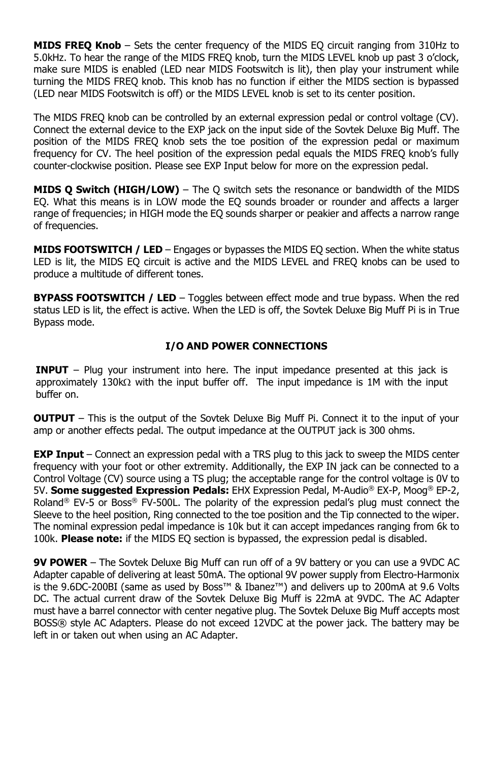**MIDS FREQ Knob** – Sets the center frequency of the MIDS EQ circuit ranging from 310Hz to 5.0kHz. To hear the range of the MIDS FREQ knob, turn the MIDS LEVEL knob up past 3 o'clock, make sure MIDS is enabled (LED near MIDS Footswitch is lit), then play your instrument while turning the MIDS FREQ knob. This knob has no function if either the MIDS section is bypassed (LED near MIDS Footswitch is off) or the MIDS LEVEL knob is set to its center position.

The MIDS FREQ knob can be controlled by an external expression pedal or control voltage (CV). Connect the external device to the EXP jack on the input side of the Sovtek Deluxe Big Muff. The position of the MIDS FREQ knob sets the toe position of the expression pedal or maximum frequency for CV. The heel position of the expression pedal equals the MIDS FREQ knob's fully counter-clockwise position. Please see EXP Input below for more on the expression pedal.

**MIDS Q Switch (HIGH/LOW)** – The Q switch sets the resonance or bandwidth of the MIDS EQ. What this means is in LOW mode the EQ sounds broader or rounder and affects a larger range of frequencies; in HIGH mode the EQ sounds sharper or peakier and affects a narrow range of frequencies.

**MIDS FOOTSWITCH / LED** – Engages or bypasses the MIDS EQ section. When the white status LED is lit, the MIDS EQ circuit is active and the MIDS LEVEL and FREQ knobs can be used to produce a multitude of different tones.

**BYPASS FOOTSWITCH / LED** – Toggles between effect mode and true bypass. When the red status LED is lit, the effect is active. When the LED is off, the Sovtek Deluxe Big Muff Pi is in True Bypass mode.

### **I/O AND POWER CONNECTIONS**

**INPUT** – Plug your instrument into here. The input impedance presented at this jack is approximately 130k $\Omega$  with the input buffer off. The input impedance is 1M with the input buffer on.

**OUTPUT** – This is the output of the Sovtek Deluxe Big Muff Pi. Connect it to the input of your amp or another effects pedal. The output impedance at the OUTPUT jack is 300 ohms.

**EXP Input** – Connect an expression pedal with a TRS plug to this jack to sweep the MIDS center frequency with your foot or other extremity. Additionally, the EXP IN jack can be connected to a Control Voltage (CV) source using a TS plug; the acceptable range for the control voltage is 0V to 5V. **Some suggested Expression Pedals:** EHX Expression Pedal, M-Audio® EX-P, Moog® EP-2, Roland<sup>®</sup> EV-5 or Boss<sup>®</sup> FV-500L. The polarity of the expression pedal's plug must connect the Sleeve to the heel position, Ring connected to the toe position and the Tip connected to the wiper. The nominal expression pedal impedance is 10k but it can accept impedances ranging from 6k to 100k. **Please note:** if the MIDS EQ section is bypassed, the expression pedal is disabled.

**9V POWER** – The Sovtek Deluxe Big Muff can run off of a 9V battery or you can use a 9VDC AC Adapter capable of delivering at least 50mA. The optional 9V power supply from Electro-Harmonix is the 9.6DC-200BI (same as used by Boss™ & Ibanez™) and delivers up to 200mA at 9.6 Volts DC. The actual current draw of the Sovtek Deluxe Big Muff is 22mA at 9VDC. The AC Adapter must have a barrel connector with center negative plug. The Sovtek Deluxe Big Muff accepts most BOSS® style AC Adapters. Please do not exceed 12VDC at the power jack. The battery may be left in or taken out when using an AC Adapter.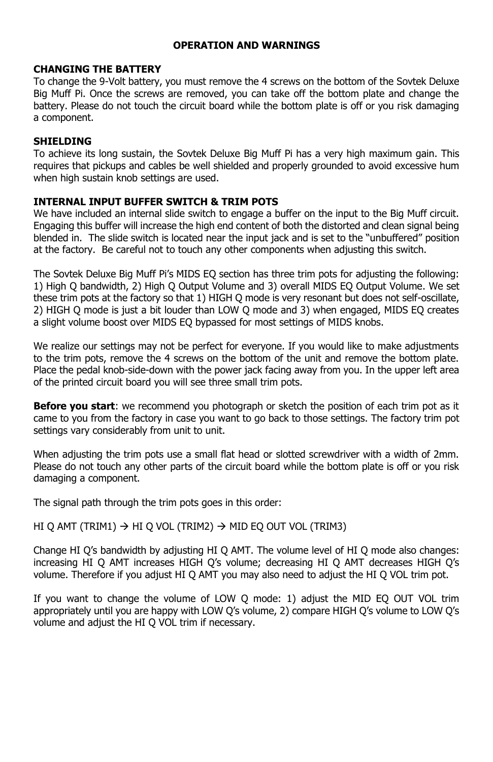#### **OPERATION AND WARNINGS**

#### **CHANGING THE BATTERY**

To change the 9-Volt battery, you must remove the 4 screws on the bottom of the Sovtek Deluxe Big Muff Pi. Once the screws are removed, you can take off the bottom plate and change the battery. Please do not touch the circuit board while the bottom plate is off or you risk damaging a component.

#### **SHIELDING**

To achieve its long sustain, the Sovtek Deluxe Big Muff Pi has a very high maximum gain. This requires that pickups and cables be well shielded and properly grounded to avoid excessive hum when high sustain knob settings are used.

#### **INTERNAL INPUT BUFFER SWITCH & TRIM POTS**

We have included an internal slide switch to engage a buffer on the input to the Big Muff circuit. Engaging this buffer will increase the high end content of both the distorted and clean signal being blended in. The slide switch is located near the input jack and is set to the "unbuffered" position at the factory. Be careful not to touch any other components when adjusting this switch.

The Sovtek Deluxe Big Muff Pi's MIDS EQ section has three trim pots for adjusting the following: 1) High Q bandwidth, 2) High Q Output Volume and 3) overall MIDS EQ Output Volume. We set these trim pots at the factory so that 1) HIGH Q mode is very resonant but does not self-oscillate, 2) HIGH Q mode is just a bit louder than LOW Q mode and 3) when engaged, MIDS EQ creates a slight volume boost over MIDS EQ bypassed for most settings of MIDS knobs.

We realize our settings may not be perfect for everyone. If you would like to make adjustments to the trim pots, remove the 4 screws on the bottom of the unit and remove the bottom plate. Place the pedal knob-side-down with the power jack facing away from you. In the upper left area of the printed circuit board you will see three small trim pots.

**Before you start**: we recommend you photograph or sketch the position of each trim pot as it came to you from the factory in case you want to go back to those settings. The factory trim pot settings vary considerably from unit to unit.

When adjusting the trim pots use a small flat head or slotted screwdriver with a width of 2mm. Please do not touch any other parts of the circuit board while the bottom plate is off or you risk damaging a component.

The signal path through the trim pots goes in this order:

#### HI Q AMT (TRIM1)  $\rightarrow$  HI Q VOL (TRIM2)  $\rightarrow$  MID EQ OUT VOL (TRIM3)

Change HI Q's bandwidth by adjusting HI Q AMT. The volume level of HI Q mode also changes: increasing HI Q AMT increases HIGH Q's volume; decreasing HI Q AMT decreases HIGH Q's volume. Therefore if you adjust HI Q AMT you may also need to adjust the HI Q VOL trim pot.

If you want to change the volume of LOW Q mode: 1) adjust the MID EQ OUT VOL trim appropriately until you are happy with LOW Q's volume, 2) compare HIGH Q's volume to LOW Q's volume and adjust the HI Q VOL trim if necessary.